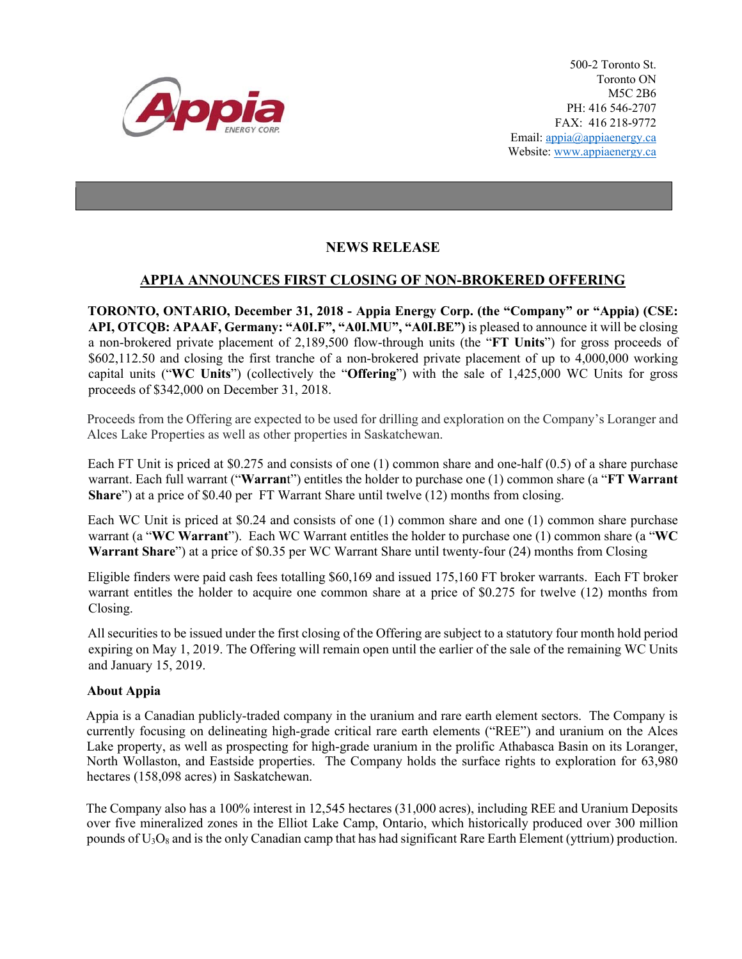

500-2 Toronto St. Toronto ON M5C 2B6 PH: 416 546-2707 FAX: 416 218-9772 Email: appia@appiaenergy.ca Website: www.appiaenergy.ca

## **NEWS RELEASE**

## **APPIA ANNOUNCES FIRST CLOSING OF NON-BROKERED OFFERING**

**TORONTO, ONTARIO, December 31, 2018 - Appia Energy Corp. (the "Company" or "Appia) (CSE: API, OTCQB: APAAF, Germany: "A0I.F", "A0I.MU", "A0I.BE")** is pleased to announce it will be closing a non-brokered private placement of 2,189,500 flow-through units (the "**FT Units**") for gross proceeds of \$602,112.50 and closing the first tranche of a non-brokered private placement of up to 4,000,000 working capital units ("**WC Units**") (collectively the "**Offering**") with the sale of 1,425,000 WC Units for gross proceeds of \$342,000 on December 31, 2018.

Proceeds from the Offering are expected to be used for drilling and exploration on the Company's Loranger and Alces Lake Properties as well as other properties in Saskatchewan.

Each FT Unit is priced at \$0.275 and consists of one (1) common share and one-half (0.5) of a share purchase warrant. Each full warrant ("**Warran**t") entitles the holder to purchase one (1) common share (a "**FT Warrant Share**") at a price of \$0.40 per FT Warrant Share until twelve (12) months from closing.

Each WC Unit is priced at \$0.24 and consists of one (1) common share and one (1) common share purchase warrant (a "**WC Warrant**"). Each WC Warrant entitles the holder to purchase one (1) common share (a "**WC Warrant Share**") at a price of \$0.35 per WC Warrant Share until twenty-four (24) months from Closing

Eligible finders were paid cash fees totalling \$60,169 and issued 175,160 FT broker warrants. Each FT broker warrant entitles the holder to acquire one common share at a price of \$0.275 for twelve (12) months from Closing.

All securities to be issued under the first closing of the Offering are subject to a statutory four month hold period expiring on May 1, 2019. The Offering will remain open until the earlier of the sale of the remaining WC Units and January 15, 2019.

## **About Appia**

Appia is a Canadian publicly-traded company in the uranium and rare earth element sectors. The Company is currently focusing on delineating high-grade critical rare earth elements ("REE") and uranium on the Alces Lake property, as well as prospecting for high-grade uranium in the prolific Athabasca Basin on its Loranger, North Wollaston, and Eastside properties. The Company holds the surface rights to exploration for 63,980 hectares (158,098 acres) in Saskatchewan.

The Company also has a 100% interest in 12,545 hectares (31,000 acres), including REE and Uranium Deposits over five mineralized zones in the Elliot Lake Camp, Ontario, which historically produced over 300 million pounds of  $U_3O_8$  and is the only Canadian camp that has had significant Rare Earth Element (yttrium) production.